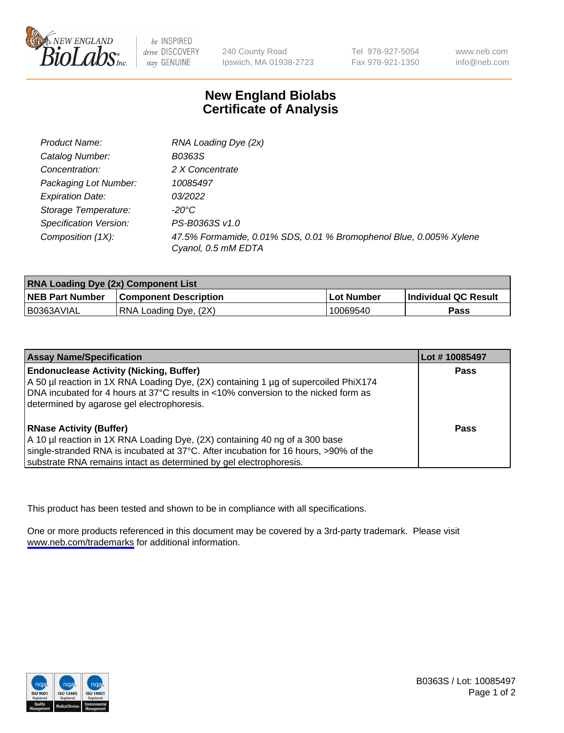

be INSPIRED drive DISCOVERY stay GENUINE

240 County Road Ipswich, MA 01938-2723

Tel 978-927-5054 Fax 978-921-1350

www.neb.com info@neb.com

## **New England Biolabs Certificate of Analysis**

| Product Name:           | RNA Loading Dye (2x)                                                                      |
|-------------------------|-------------------------------------------------------------------------------------------|
| Catalog Number:         | B0363S                                                                                    |
| Concentration:          | 2 X Concentrate                                                                           |
| Packaging Lot Number:   | 10085497                                                                                  |
| <b>Expiration Date:</b> | 03/2022                                                                                   |
| Storage Temperature:    | -20°C                                                                                     |
| Specification Version:  | PS-B0363S v1.0                                                                            |
| Composition (1X):       | 47.5% Formamide, 0.01% SDS, 0.01 % Bromophenol Blue, 0.005% Xylene<br>Cyanol, 0.5 mM EDTA |

| <b>RNA Loading Dye (2x) Component List</b> |                              |            |                             |  |
|--------------------------------------------|------------------------------|------------|-----------------------------|--|
| <b>NEB Part Number</b>                     | <b>Component Description</b> | Lot Number | <b>Individual QC Result</b> |  |
| B0363AVIAL                                 | RNA Loading Dye, (2X)        | 10069540   | Pass                        |  |

| <b>Assay Name/Specification</b>                                                      | Lot #10085497 |
|--------------------------------------------------------------------------------------|---------------|
| <b>Endonuclease Activity (Nicking, Buffer)</b>                                       | <b>Pass</b>   |
| A 50 µl reaction in 1X RNA Loading Dye, (2X) containing 1 µg of supercoiled PhiX174  |               |
| DNA incubated for 4 hours at 37°C results in <10% conversion to the nicked form as   |               |
| determined by agarose gel electrophoresis.                                           |               |
| <b>RNase Activity (Buffer)</b>                                                       | Pass          |
| A 10 µl reaction in 1X RNA Loading Dye, (2X) containing 40 ng of a 300 base          |               |
| single-stranded RNA is incubated at 37°C. After incubation for 16 hours, >90% of the |               |
| substrate RNA remains intact as determined by gel electrophoresis.                   |               |

This product has been tested and shown to be in compliance with all specifications.

One or more products referenced in this document may be covered by a 3rd-party trademark. Please visit <www.neb.com/trademarks>for additional information.